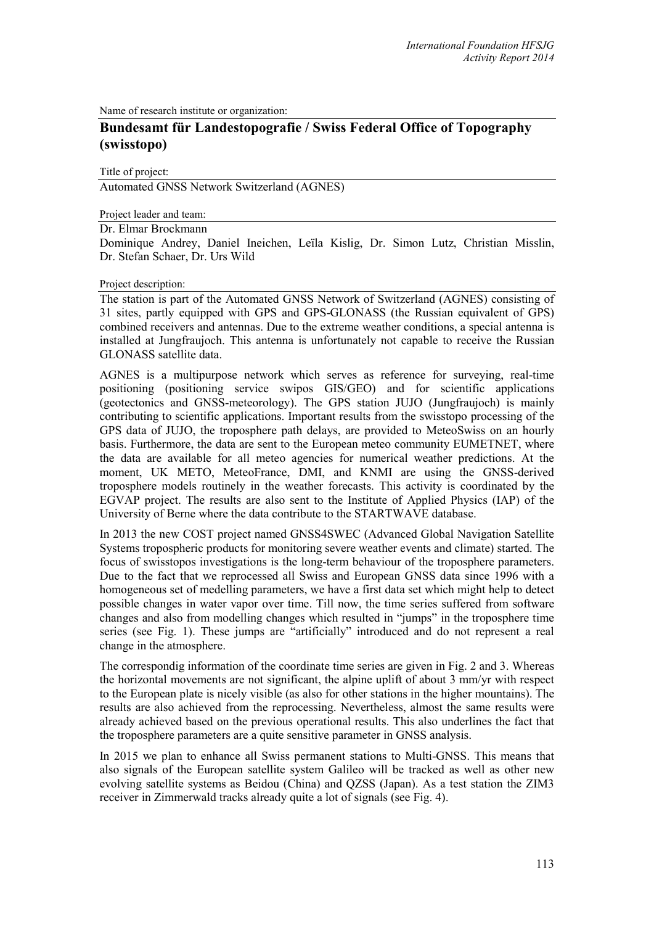Name of research institute or organization:

# **Bundesamt für Landestopografie / Swiss Federal Office of Topography (swisstopo)**

Title of project:

Automated GNSS Network Switzerland (AGNES)

Project leader and team:

Dr. Elmar Brockmann

Dominique Andrey, Daniel Ineichen, Leïla Kislig, Dr. Simon Lutz, Christian Misslin, Dr. Stefan Schaer, Dr. Urs Wild

## Project description:

The station is part of the Automated GNSS Network of Switzerland (AGNES) consisting of 31 sites, partly equipped with GPS and GPS-GLONASS (the Russian equivalent of GPS) combined receivers and antennas. Due to the extreme weather conditions, a special antenna is installed at Jungfraujoch. This antenna is unfortunately not capable to receive the Russian GLONASS satellite data.

AGNES is a multipurpose network which serves as reference for surveying, real-time positioning (positioning service swipos GIS/GEO) and for scientific applications (geotectonics and GNSS-meteorology). The GPS station JUJO (Jungfraujoch) is mainly contributing to scientific applications. Important results from the swisstopo processing of the GPS data of JUJO, the troposphere path delays, are provided to MeteoSwiss on an hourly basis. Furthermore, the data are sent to the European meteo community EUMETNET, where the data are available for all meteo agencies for numerical weather predictions. At the moment, UK METO, MeteoFrance, DMI, and KNMI are using the GNSS-derived troposphere models routinely in the weather forecasts. This activity is coordinated by the EGVAP project. The results are also sent to the Institute of Applied Physics (IAP) of the University of Berne where the data contribute to the STARTWAVE database.

In 2013 the new COST project named GNSS4SWEC (Advanced Global Navigation Satellite Systems tropospheric products for monitoring severe weather events and climate) started. The focus of swisstopos investigations is the long-term behaviour of the troposphere parameters. Due to the fact that we reprocessed all Swiss and European GNSS data since 1996 with a homogeneous set of medelling parameters, we have a first data set which might help to detect possible changes in water vapor over time. Till now, the time series suffered from software changes and also from modelling changes which resulted in "jumps" in the troposphere time series (see Fig. 1). These jumps are "artificially" introduced and do not represent a real change in the atmosphere.

The correspondig information of the coordinate time series are given in Fig. 2 and 3. Whereas the horizontal movements are not significant, the alpine uplift of about 3 mm/yr with respect to the European plate is nicely visible (as also for other stations in the higher mountains). The results are also achieved from the reprocessing. Nevertheless, almost the same results were already achieved based on the previous operational results. This also underlines the fact that the troposphere parameters are a quite sensitive parameter in GNSS analysis.

In 2015 we plan to enhance all Swiss permanent stations to Multi-GNSS. This means that also signals of the European satellite system Galileo will be tracked as well as other new evolving satellite systems as Beidou (China) and QZSS (Japan). As a test station the ZIM3 receiver in Zimmerwald tracks already quite a lot of signals (see Fig. 4).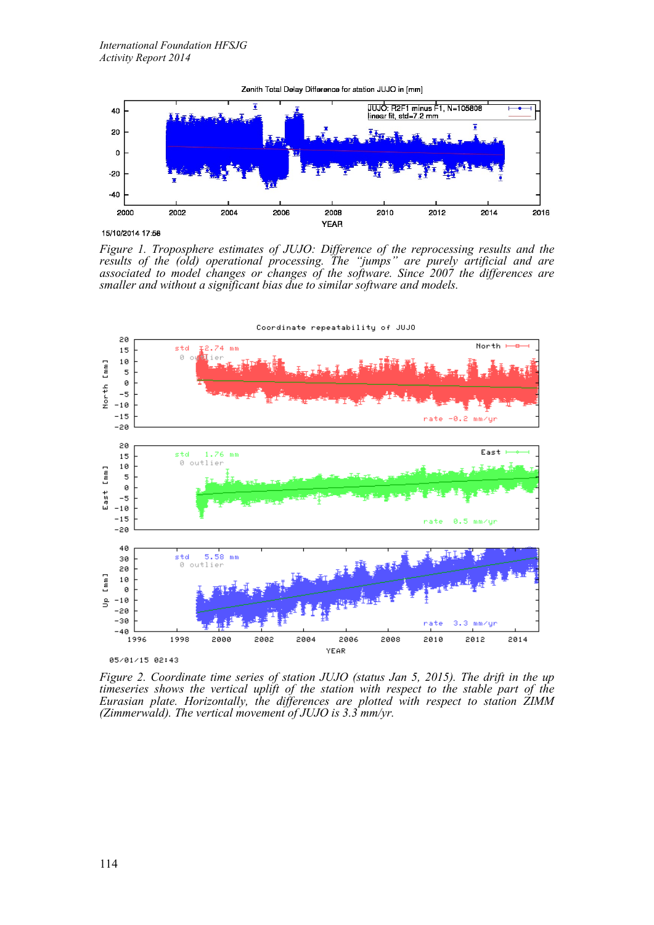

Zenith Total Delay Difference for station JUJO in [mm]

*Figure 1. Troposphere estimates of JUJO: Difference of the reprocessing results and the results of the (old) operational processing. The "jumps" are purely artificial and are associated to model changes or changes of the software. Since 2007 the differences are smaller and without a significant bias due to similar software and models.*



*Figure 2. Coordinate time series of station JUJO (status Jan 5, 2015). The drift in the up timeseries shows the vertical uplift of the station with respect to the stable part of the Eurasian plate. Horizontally, the differences are plotted with respect to station ZIMM (Zimmerwald). The vertical movement of JUJO is 3.3 mm/yr.*

<sup>15/10/2014 17:58</sup>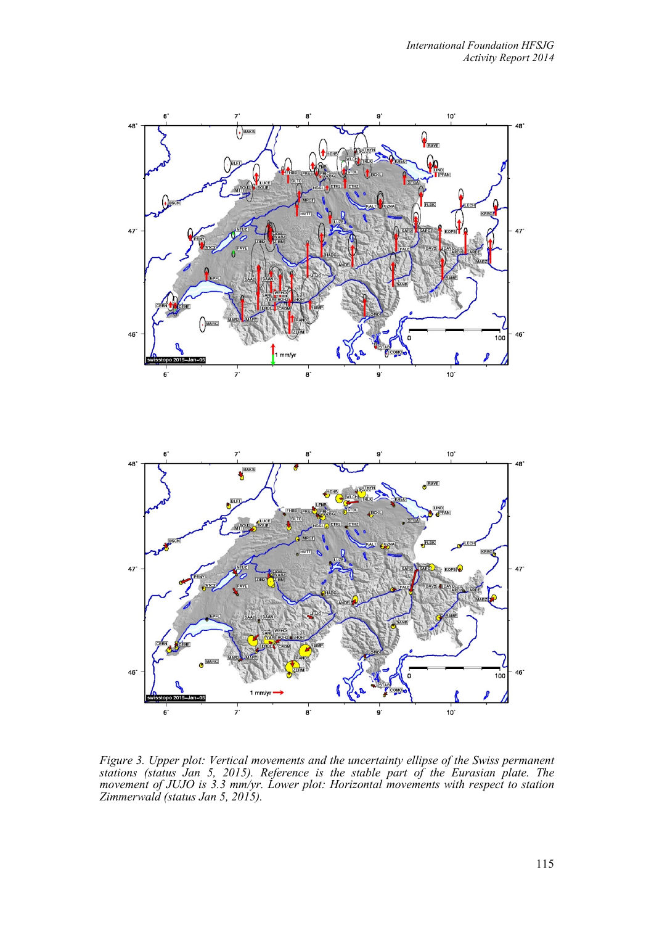

*Figure 3. Upper plot: Vertical movements and the uncertainty ellipse of the Swiss permanent stations (status Jan 5, 2015). Reference is the stable part of the Eurasian plate. The movement of JUJO is 3.3 mm/yr. Lower plot: Horizontal movements with respect to station Zimmerwald (status Jan 5, 2015).*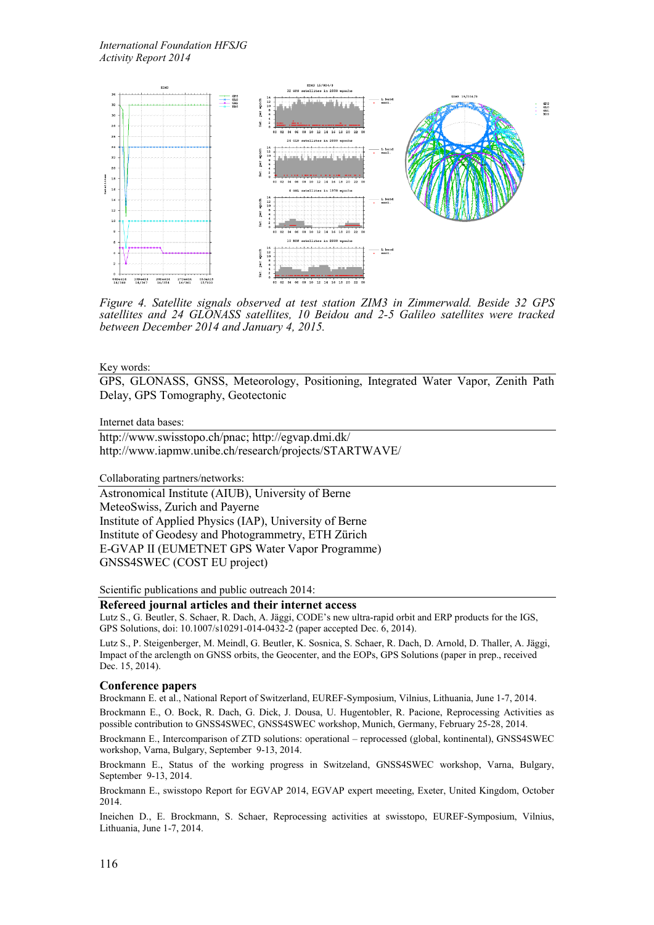

*Figure 4. Satellite signals observed at test station ZIM3 in Zimmerwald. Beside 32 GPS satellites and 24 GLONASS satellites, 10 Beidou and 2-5 Galileo satellites were tracked between December 2014 and January 4, 2015.*

#### Key words:

GPS, GLONASS, GNSS, Meteorology, Positioning, Integrated Water Vapor, Zenith Path Delay, GPS Tomography, Geotectonic

#### Internet data bases:

[http://www.swisstopo.ch/pnac;](http://www.swisstopo.ch/pnac) <http://egvap.dmi.dk/> <http://www.iapmw.unibe.ch/research/projects/STARTWAVE/>

Collaborating partners/networks:

Astronomical Institute (AIUB), University of Berne MeteoSwiss, Zurich and Payerne Institute of Applied Physics (IAP), University of Berne Institute of Geodesy and Photogrammetry, ETH Zürich E-GVAP II (EUMETNET GPS Water Vapor Programme) GNSS4SWEC (COST EU project)

Scientific publications and public outreach 2014:

### **Refereed journal articles and their internet access**

Lutz S., G. Beutler, S. Schaer, R. Dach, A. Jäggi, CODE's new ultra-rapid orbit and ERP products for the IGS, GPS Solutions, doi: 10.1007/s10291-014-0432-2 (paper accepted Dec. 6, 2014).

Lutz S., P. Steigenberger, M. Meindl, G. Beutler, K. Sosnica, S. Schaer, R. Dach, D. Arnold, D. Thaller, A. Jäggi, Impact of the arclength on GNSS orbits, the Geocenter, and the EOPs, GPS Solutions (paper in prep., received Dec. 15, 2014).

#### **Conference papers**

Brockmann E. et al., National Report of Switzerland, EUREF-Symposium, Vilnius, Lithuania, June 1-7, 2014.

Brockmann E., O. Bock, R. Dach, G. Dick, J. Dousa, U. Hugentobler, R. Pacione, Reprocessing Activities as possible contribution to GNSS4SWEC, GNSS4SWEC workshop, Munich, Germany, February 25-28, 2014.

Brockmann E., Intercomparison of ZTD solutions: operational – reprocessed (global, kontinental), GNSS4SWEC workshop, Varna, Bulgary, September 9-13, 2014.

Brockmann E., Status of the working progress in Switzeland, GNSS4SWEC workshop, Varna, Bulgary, September 9-13, 2014.

Brockmann E., swisstopo Report for EGVAP 2014, EGVAP expert meeeting, Exeter, United Kingdom, October 2014.

Ineichen D., E. Brockmann, S. Schaer, Reprocessing activities at swisstopo, EUREF-Symposium, Vilnius, Lithuania, June 1-7, 2014.